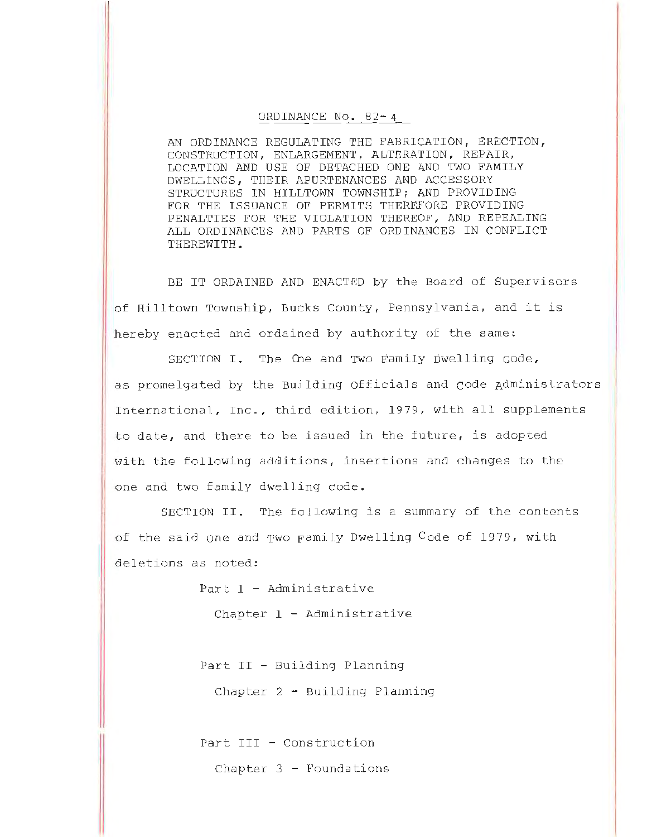## ORDINANCE No. 82-4

AN ORDINnNCE REGULATING THE FABRICATION, ERECTION, CONSTRUCTION, ENLARGEMENT, ALTERATION, REPAIR, LOCATION AND USE OF DETACHED ONE AND TWO FnMILY DWELLINGS, THEIR APURTENANCES AND ACCESSORY STRUCTURES IN HILLTOWN TOWNSHIP; AND PROVIDING FOR THE ISSUANCE OF PERMITS THEREFORE PROVIDING PENALTIES FOR 'rHE VIOLATION THEREOF, AND REPEALING nLL ORDINANCES AND PARTS OF ORDINANCES IN CONFLICT THEREWITH.

BE IT ORDAINED AND ENACTED by the Board of Supervisors of Hilltown Township, Bucks County, Pennsylvania, and it is hereby enacted and ordained by authority of the same:

SECTION I. The Che and Two Family Dwelling Code, as promelgated by the Building Officials and Code Adminislrators International, Inc., third edition, 1979, with all supplements to date, and there to be issued in the future, is adopted with the following additions, insertions and changes to the one and two family dwelJing code.

SECTION II. The following is a summary of the contents of the said one and  $Two$   $p$ amily Dwelling Code of 1979, with deletions as noted:

Part 1 - Administrative

Chapter  $1 -$  Administrative

Part II - Building Planning

Chapter  $2 -$  Building Planning

Part III - Construction

Chapter  $3$  - Foundations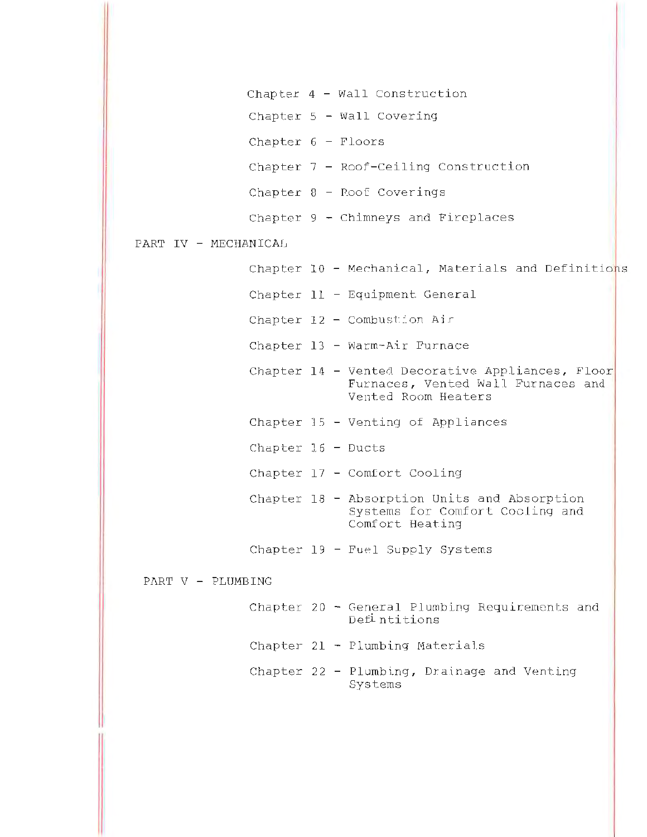```
Chapter 4 - Wall Construction 
               Chapter 5 - Wall Covering 
               Chapter 6 - Floors
               Chapter 7 - Roof-Ceiling Construction 
               Chapter 8 - Roof Coverings 
               Chapter 9 - Chimneys and Fireplaces 
PART IV - MECHANICAL
                Chapter 10 - Mechanical, Materials and Definitions
               Chapter 11 - Equipment General 
               Chapter 12 - Combustion Air
               Chapter 13 - Warm-Air Furnace 
               Chapter 14 - Vented Decorative Appliances, Floor 
                             Furnaces, Vented Wall Furnaces and 
                             Vented Room Heaters 
               Chapter 15 - Venting of Appliances 
               Chapter 16 - Ducts 
               Chapter 17 - Comfort Cooling 
               Chapter 18 - Absorption Units and Absorption 
                             Systems for Comfort Cooling and 
                             Comfort Heating 
               Chapter 19 - Fuel Supply Systems
 PART V - PLUMBING
               Chapter 20 - General Plumbing Requirements and
                             Def<sup>i</sup>ntitions
               Chapter 21 - Plumbing Materials
               Chapter 22 - Plumbing, Drainage and Venting 
                             Systems
```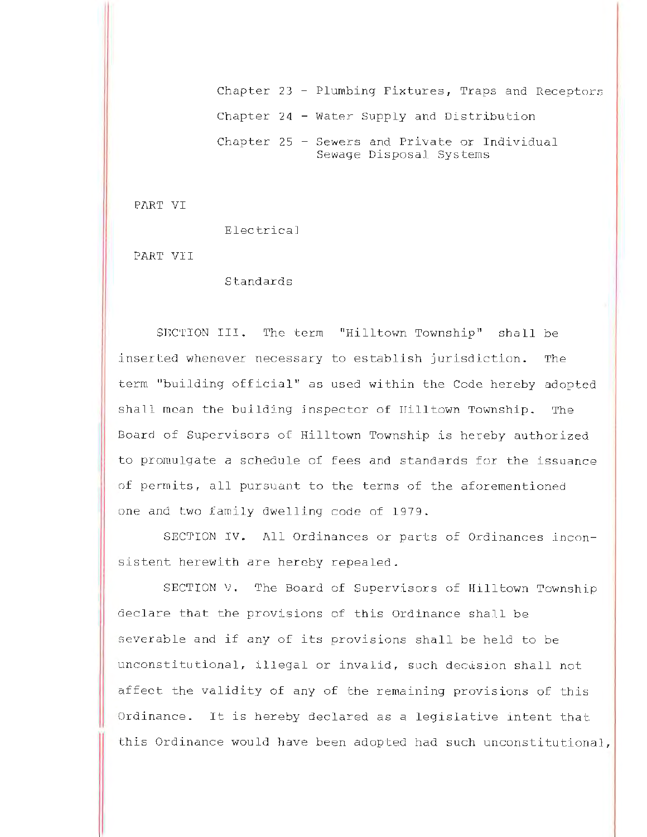Chapter  $23$  - Plumbing Fixtures, Traps and Receptors Chapter 24 - Water Supply and Distribution Chapter 25 - Sewers and Private or Individual Sewage Disposal Systems

PART VI

Electrical

PAR'l' VI I

Standards

SECTION III. The term "Hilltown Township" shall be inserted whenever necessary to establish jurisdiction. The term "buiJding official" as used within the Code hereby adopted shall mean the building inspector of Hilltown Township. The Board of Supervisors of Hilltown Township .is hereby authorized to promulgate a schedule of fees and standards for the issuance of permits, all pursuant to the terms of the aforementioned one and two family dwelling code of 1979.

SECTION IV. All Ordinances or parts of Ordinances inconsistent herewith are hereby repealed.

SECTION V. The Board of Supervisors of Hilltown Township declare that the provisions of this Ordinance shall be severable and if any of its provisions shall be held to be unconstitutional, illegal or invalid, such decasion shall not affect the validity of any of the remaining provisions of this Ordinance. It is hereby declared as a legislative intent that this Ordinance would have been adopted had such unconstitutional,